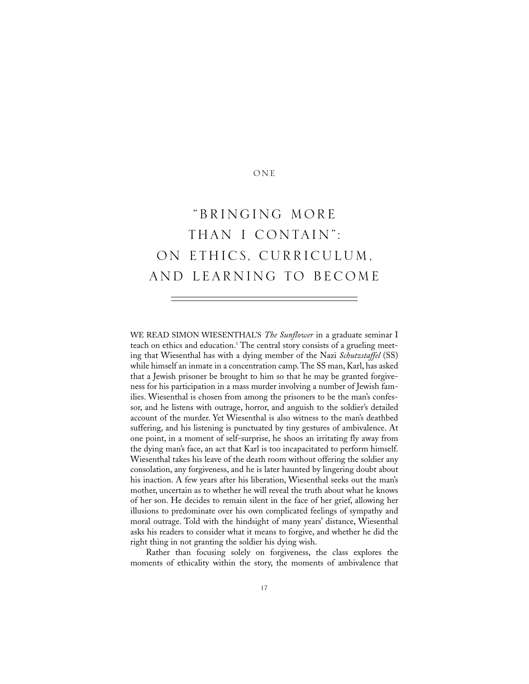#### ONE

# "BRINGING MORE THAN I CONTAIN": ON ETHICS, CURRICULUM, AND LEARNING TO BECOME

WE READ SIMON WIESENTHAL'S *The Sunflower* in a graduate seminar I teach on ethics and education.<sup>1</sup> The central story consists of a grueling meeting that Wiesenthal has with a dying member of the Nazi *Schutzstaffel* (SS) while himself an inmate in a concentration camp. The SS man, Karl, has asked that a Jewish prisoner be brought to him so that he may be granted forgiveness for his participation in a mass murder involving a number of Jewish families. Wiesenthal is chosen from among the prisoners to be the man's confessor, and he listens with outrage, horror, and anguish to the soldier's detailed account of the murder. Yet Wiesenthal is also witness to the man's deathbed suffering, and his listening is punctuated by tiny gestures of ambivalence. At one point, in a moment of self-surprise, he shoos an irritating fly away from the dying man's face, an act that Karl is too incapacitated to perform himself. Wiesenthal takes his leave of the death room without offering the soldier any consolation, any forgiveness, and he is later haunted by lingering doubt about his inaction. A few years after his liberation, Wiesenthal seeks out the man's mother, uncertain as to whether he will reveal the truth about what he knows of her son. He decides to remain silent in the face of her grief, allowing her illusions to predominate over his own complicated feelings of sympathy and moral outrage. Told with the hindsight of many years' distance, Wiesenthal asks his readers to consider what it means to forgive, and whether he did the right thing in not granting the soldier his dying wish.

Rather than focusing solely on forgiveness, the class explores the moments of ethicality within the story, the moments of ambivalence that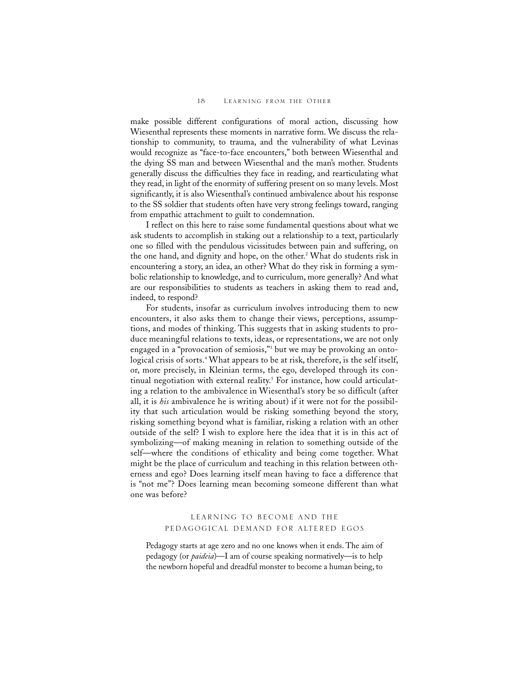make possible different configurations of moral action, discussing how Wiesenthal represents these moments in narrative form. We discuss the relationship to community, to trauma, and the vulnerability of what Levinas would recognize as "face-to-face encounters," both between Wiesenthal and the dying SS man and between Wiesenthal and the man's mother. Students generally discuss the difficulties they face in reading, and rearticulating what they read, in light of the enormity of suffering present on so many levels. Most significantly, it is also Wiesenthal's continued ambivalence about his response to the SS soldier that students often have very strong feelings toward, ranging from empathic attachment to guilt to condemnation.

I reflect on this here to raise some fundamental questions about what we ask students to accomplish in staking out a relationship to a text, particularly one so filled with the pendulous vicissitudes between pain and suffering, on the one hand, and dignity and hope, on the other.<sup>2</sup> What do students risk in encountering a story, an idea, an other? What do they risk in forming a symbolic relationship to knowledge, and to curriculum, more generally? And what are our responsibilities to students as teachers in asking them to read and, indeed, to respond?

For students, insofar as curriculum involves introducing them to new encounters, it also asks them to change their views, perceptions, assumptions, and modes of thinking. This suggests that in asking students to produce meaningful relations to texts, ideas, or representations, we are not only engaged in a "provocation of semiosis,"3 but we may be provoking an ontological crisis of sorts.<sup>4</sup> What appears to be at risk, therefore, is the self itself, or, more precisely, in Kleinian terms, the ego, developed through its continual negotiation with external reality.<sup>5</sup> For instance, how could articulating a relation to the ambivalence in Wiesenthal's story be so difficult (after all, it is *his* ambivalence he is writing about) if it were not for the possibility that such articulation would be risking something beyond the story, risking something beyond what is familiar, risking a relation with an other outside of the self? I wish to explore here the idea that it is in this act of symbolizing—of making meaning in relation to something outside of the self—where the conditions of ethicality and being come together. What might be the place of curriculum and teaching in this relation between otherness and ego? Does learning itself mean having to face a difference that is "not me"? Does learning mean becoming someone different than what one was before?

## LEARNING TO BECOME AND THE PEDAGOGICAL DEMAND FOR ALTERED EGOS

Pedagogy starts at age zero and no one knows when it ends. The aim of pedagogy (or *paideia*)—I am of course speaking normatively—is to help the newborn hopeful and dreadful monster to become a human being, to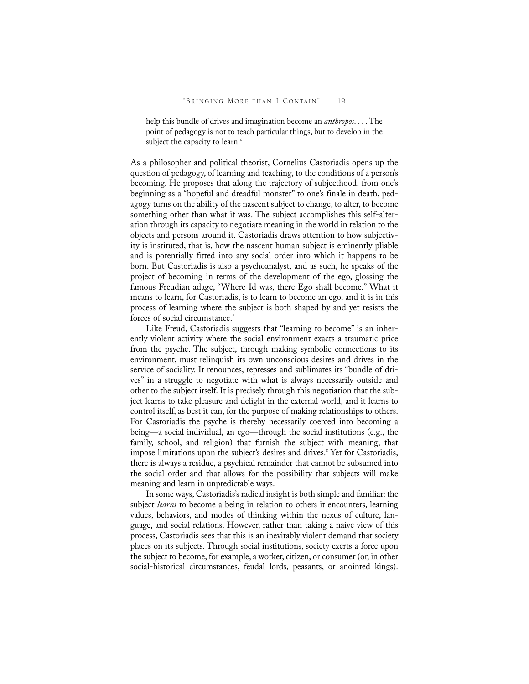help this bundle of drives and imagination become an *anthro\pos*. . . . The point of pedagogy is not to teach particular things, but to develop in the subject the capacity to learn.<sup>6</sup>

As a philosopher and political theorist, Cornelius Castoriadis opens up the question of pedagogy, of learning and teaching, to the conditions of a person's becoming. He proposes that along the trajectory of subjecthood, from one's beginning as a "hopeful and dreadful monster" to one's finale in death, pedagogy turns on the ability of the nascent subject to change, to alter, to become something other than what it was. The subject accomplishes this self-alteration through its capacity to negotiate meaning in the world in relation to the objects and persons around it. Castoriadis draws attention to how subjectivity is instituted, that is, how the nascent human subject is eminently pliable and is potentially fitted into any social order into which it happens to be born. But Castoriadis is also a psychoanalyst, and as such, he speaks of the project of becoming in terms of the development of the ego, glossing the famous Freudian adage, "Where Id was, there Ego shall become." What it means to learn, for Castoriadis, is to learn to become an ego, and it is in this process of learning where the subject is both shaped by and yet resists the forces of social circumstance.7

Like Freud, Castoriadis suggests that "learning to become" is an inherently violent activity where the social environment exacts a traumatic price from the psyche. The subject, through making symbolic connections to its environment, must relinquish its own unconscious desires and drives in the service of sociality. It renounces, represses and sublimates its "bundle of drives" in a struggle to negotiate with what is always necessarily outside and other to the subject itself. It is precisely through this negotiation that the subject learns to take pleasure and delight in the external world, and it learns to control itself, as best it can, for the purpose of making relationships to others. For Castoriadis the psyche is thereby necessarily coerced into becoming a being—a social individual, an ego—through the social institutions (e.g., the family, school, and religion) that furnish the subject with meaning, that impose limitations upon the subject's desires and drives.<sup>8</sup> Yet for Castoriadis, there is always a residue, a psychical remainder that cannot be subsumed into the social order and that allows for the possibility that subjects will make meaning and learn in unpredictable ways.

In some ways, Castoriadis's radical insight is both simple and familiar: the subject *learns* to become a being in relation to others it encounters, learning values, behaviors, and modes of thinking within the nexus of culture, language, and social relations. However, rather than taking a naive view of this process, Castoriadis sees that this is an inevitably violent demand that society places on its subjects. Through social institutions, society exerts a force upon the subject to become, for example, a worker, citizen, or consumer (or, in other social-historical circumstances, feudal lords, peasants, or anointed kings).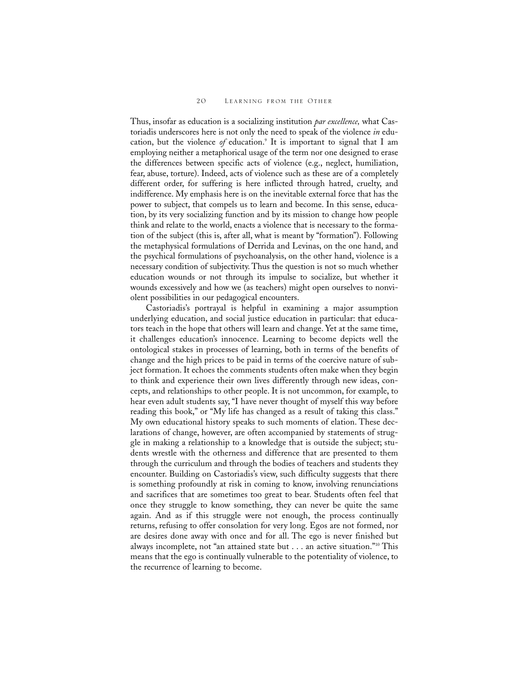Thus, insofar as education is a socializing institution *par excellence,* what Castoriadis underscores here is not only the need to speak of the violence *in* education, but the violence of education.<sup>9</sup> It is important to signal that I am employing neither a metaphorical usage of the term nor one designed to erase the differences between specific acts of violence (e.g., neglect, humiliation, fear, abuse, torture). Indeed, acts of violence such as these are of a completely different order, for suffering is here inflicted through hatred, cruelty, and indifference. My emphasis here is on the inevitable external force that has the power to subject, that compels us to learn and become. In this sense, education, by its very socializing function and by its mission to change how people think and relate to the world, enacts a violence that is necessary to the formation of the subject (this is, after all, what is meant by "formation"). Following the metaphysical formulations of Derrida and Levinas, on the one hand, and the psychical formulations of psychoanalysis, on the other hand, violence is a necessary condition of subjectivity. Thus the question is not so much whether education wounds or not through its impulse to socialize, but whether it wounds excessively and how we (as teachers) might open ourselves to nonviolent possibilities in our pedagogical encounters.

Castoriadis's portrayal is helpful in examining a major assumption underlying education, and social justice education in particular: that educators teach in the hope that others will learn and change. Yet at the same time, it challenges education's innocence. Learning to become depicts well the ontological stakes in processes of learning, both in terms of the benefits of change and the high prices to be paid in terms of the coercive nature of subject formation. It echoes the comments students often make when they begin to think and experience their own lives differently through new ideas, concepts, and relationships to other people. It is not uncommon, for example, to hear even adult students say, "I have never thought of myself this way before reading this book," or "My life has changed as a result of taking this class." My own educational history speaks to such moments of elation. These declarations of change, however, are often accompanied by statements of struggle in making a relationship to a knowledge that is outside the subject; students wrestle with the otherness and difference that are presented to them through the curriculum and through the bodies of teachers and students they encounter. Building on Castoriadis's view, such difficulty suggests that there is something profoundly at risk in coming to know, involving renunciations and sacrifices that are sometimes too great to bear. Students often feel that once they struggle to know something, they can never be quite the same again. And as if this struggle were not enough, the process continually returns, refusing to offer consolation for very long. Egos are not formed, nor are desires done away with once and for all. The ego is never finished but always incomplete, not "an attained state but . . . an active situation."10 This means that the ego is continually vulnerable to the potentiality of violence, to the recurrence of learning to become.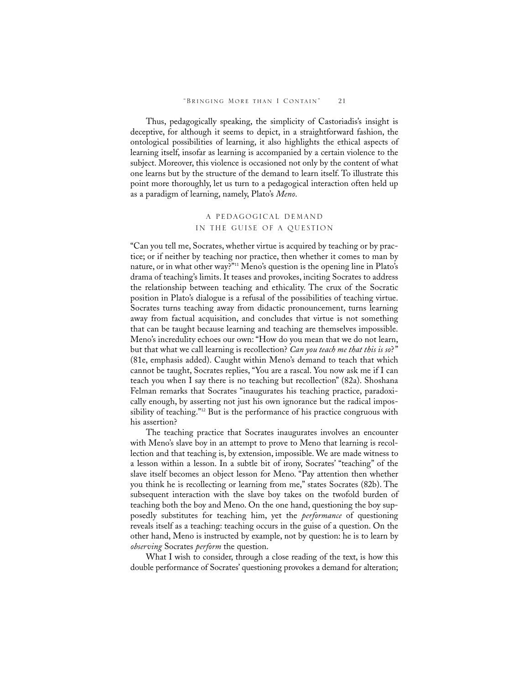Thus, pedagogically speaking, the simplicity of Castoriadis's insight is deceptive, for although it seems to depict, in a straightforward fashion, the ontological possibilities of learning, it also highlights the ethical aspects of learning itself, insofar as learning is accompanied by a certain violence to the subject. Moreover, this violence is occasioned not only by the content of what one learns but by the structure of the demand to learn itself. To illustrate this point more thoroughly, let us turn to a pedagogical interaction often held up as a paradigm of learning, namely, Plato's *Meno*.

## A PEDAGOGICAL DEMAND IN THE GUISE OF A QUESTION

"Can you tell me, Socrates, whether virtue is acquired by teaching or by practice; or if neither by teaching nor practice, then whether it comes to man by nature, or in what other way?"11 Meno's question is the opening line in Plato's drama of teaching's limits. It teases and provokes, inciting Socrates to address the relationship between teaching and ethicality. The crux of the Socratic position in Plato's dialogue is a refusal of the possibilities of teaching virtue. Socrates turns teaching away from didactic pronouncement, turns learning away from factual acquisition, and concludes that virtue is not something that can be taught because learning and teaching are themselves impossible. Meno's incredulity echoes our own: "How do you mean that we do not learn, but that what we call learning is recollection? *Can you teach me that this is so*?" (81e, emphasis added). Caught within Meno's demand to teach that which cannot be taught, Socrates replies, "You are a rascal. You now ask me if I can teach you when I say there is no teaching but recollection" (82a). Shoshana Felman remarks that Socrates "inaugurates his teaching practice, paradoxically enough, by asserting not just his own ignorance but the radical impossibility of teaching."<sup>12</sup> But is the performance of his practice congruous with his assertion?

The teaching practice that Socrates inaugurates involves an encounter with Meno's slave boy in an attempt to prove to Meno that learning is recollection and that teaching is, by extension, impossible. We are made witness to a lesson within a lesson. In a subtle bit of irony, Socrates' "teaching" of the slave itself becomes an object lesson for Meno. "Pay attention then whether you think he is recollecting or learning from me," states Socrates (82b). The subsequent interaction with the slave boy takes on the twofold burden of teaching both the boy and Meno. On the one hand, questioning the boy supposedly substitutes for teaching him, yet the *performance* of questioning reveals itself as a teaching: teaching occurs in the guise of a question. On the other hand, Meno is instructed by example, not by question: he is to learn by *observing* Socrates *perform* the question.

What I wish to consider, through a close reading of the text, is how this double performance of Socrates' questioning provokes a demand for alteration;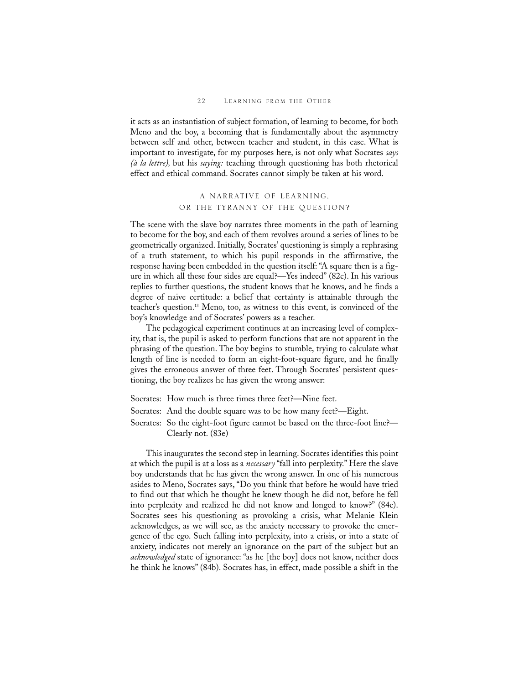it acts as an instantiation of subject formation, of learning to become, for both Meno and the boy, a becoming that is fundamentally about the asymmetry between self and other, between teacher and student, in this case. What is important to investigate, for my purposes here, is not only what Socrates *says (à la lettre),* but his *saying:* teaching through questioning has both rhetorical effect and ethical command. Socrates cannot simply be taken at his word.

## A NARRATIVE OF LEARNING, OR THE TYRANNY OF THE QUESTION?

The scene with the slave boy narrates three moments in the path of learning to become for the boy, and each of them revolves around a series of lines to be geometrically organized. Initially, Socrates' questioning is simply a rephrasing of a truth statement, to which his pupil responds in the affirmative, the response having been embedded in the question itself: "A square then is a figure in which all these four sides are equal?—Yes indeed" (82c). In his various replies to further questions, the student knows that he knows, and he finds a degree of naive certitude: a belief that certainty is attainable through the teacher's question.13 Meno, too, as witness to this event, is convinced of the boy's knowledge and of Socrates' powers as a teacher.

The pedagogical experiment continues at an increasing level of complexity, that is, the pupil is asked to perform functions that are not apparent in the phrasing of the question. The boy begins to stumble, trying to calculate what length of line is needed to form an eight-foot-square figure, and he finally gives the erroneous answer of three feet. Through Socrates' persistent questioning, the boy realizes he has given the wrong answer:

- Socrates: How much is three times three feet?—Nine feet.
- Socrates: And the double square was to be how many feet?—Eight.
- Socrates: So the eight-foot figure cannot be based on the three-foot line?— Clearly not. (83e)

This inaugurates the second step in learning. Socrates identifies this point at which the pupil is at a loss as a *necessary* "fall into perplexity." Here the slave boy understands that he has given the wrong answer. In one of his numerous asides to Meno, Socrates says, "Do you think that before he would have tried to find out that which he thought he knew though he did not, before he fell into perplexity and realized he did not know and longed to know?" (84c). Socrates sees his questioning as provoking a crisis, what Melanie Klein acknowledges, as we will see, as the anxiety necessary to provoke the emergence of the ego. Such falling into perplexity, into a crisis, or into a state of anxiety, indicates not merely an ignorance on the part of the subject but an *acknowledged* state of ignorance: "as he [the boy] does not know, neither does he think he knows" (84b). Socrates has, in effect, made possible a shift in the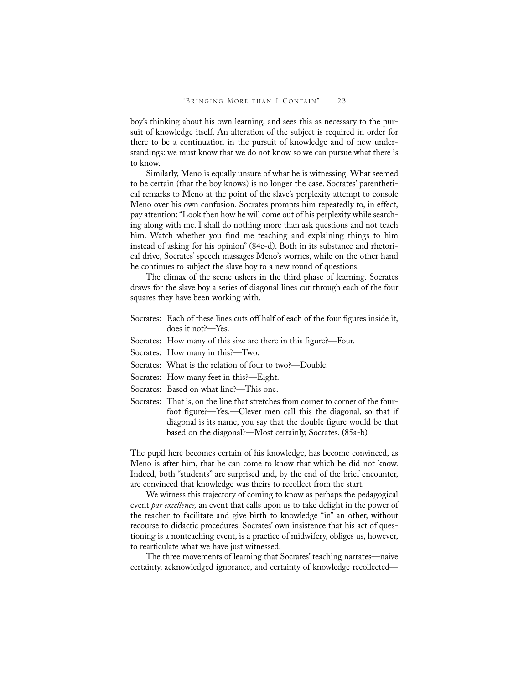boy's thinking about his own learning, and sees this as necessary to the pursuit of knowledge itself. An alteration of the subject is required in order for there to be a continuation in the pursuit of knowledge and of new understandings: we must know that we do not know so we can pursue what there is to know.

Similarly, Meno is equally unsure of what he is witnessing. What seemed to be certain (that the boy knows) is no longer the case. Socrates' parenthetical remarks to Meno at the point of the slave's perplexity attempt to console Meno over his own confusion. Socrates prompts him repeatedly to, in effect, pay attention: "Look then how he will come out of his perplexity while searching along with me. I shall do nothing more than ask questions and not teach him. Watch whether you find me teaching and explaining things to him instead of asking for his opinion" (84c-d). Both in its substance and rhetorical drive, Socrates' speech massages Meno's worries, while on the other hand he continues to subject the slave boy to a new round of questions.

The climax of the scene ushers in the third phase of learning. Socrates draws for the slave boy a series of diagonal lines cut through each of the four squares they have been working with.

| Socrates: Each of these lines cuts off half of each of the four figures inside it,<br>does it not?—Yes.                                                                                                                                                                               |
|---------------------------------------------------------------------------------------------------------------------------------------------------------------------------------------------------------------------------------------------------------------------------------------|
| Socrates: How many of this size are there in this figure?—Four.                                                                                                                                                                                                                       |
| Socrates: How many in this?—Two.                                                                                                                                                                                                                                                      |
| Socrates: What is the relation of four to two?—Double.                                                                                                                                                                                                                                |
| Socrates: How many feet in this?—Eight.                                                                                                                                                                                                                                               |
| Socrates: Based on what line?—This one.                                                                                                                                                                                                                                               |
| Socrates: That is, on the line that stretches from corner to corner of the four-<br>foot figure?—Yes.—Clever men call this the diagonal, so that if<br>diagonal is its name, you say that the double figure would be that<br>based on the diagonal?—Most certainly, Socrates. (85a-b) |

The pupil here becomes certain of his knowledge, has become convinced, as Meno is after him, that he can come to know that which he did not know. Indeed, both "students" are surprised and, by the end of the brief encounter, are convinced that knowledge was theirs to recollect from the start.

We witness this trajectory of coming to know as perhaps the pedagogical event *par excellence,* an event that calls upon us to take delight in the power of the teacher to facilitate and give birth to knowledge "in" an other, without recourse to didactic procedures. Socrates' own insistence that his act of questioning is a nonteaching event, is a practice of midwifery, obliges us, however, to rearticulate what we have just witnessed.

The three movements of learning that Socrates' teaching narrates—naive certainty, acknowledged ignorance, and certainty of knowledge recollected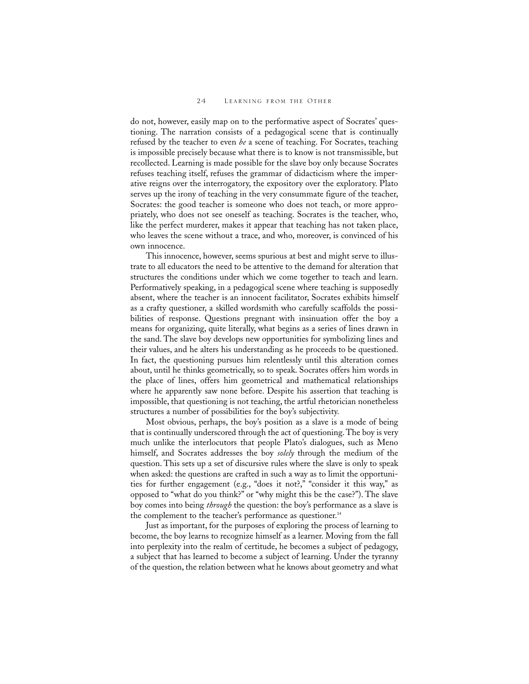do not, however, easily map on to the performative aspect of Socrates' questioning. The narration consists of a pedagogical scene that is continually refused by the teacher to even *be* a scene of teaching. For Socrates, teaching is impossible precisely because what there is to know is not transmissible, but recollected. Learning is made possible for the slave boy only because Socrates refuses teaching itself, refuses the grammar of didacticism where the imperative reigns over the interrogatory, the expository over the exploratory. Plato serves up the irony of teaching in the very consummate figure of the teacher, Socrates: the good teacher is someone who does not teach, or more appropriately, who does not see oneself as teaching. Socrates is the teacher, who, like the perfect murderer, makes it appear that teaching has not taken place, who leaves the scene without a trace, and who, moreover, is convinced of his own innocence.

This innocence, however, seems spurious at best and might serve to illustrate to all educators the need to be attentive to the demand for alteration that structures the conditions under which we come together to teach and learn. Performatively speaking, in a pedagogical scene where teaching is supposedly absent, where the teacher is an innocent facilitator, Socrates exhibits himself as a crafty questioner, a skilled wordsmith who carefully scaffolds the possibilities of response. Questions pregnant with insinuation offer the boy a means for organizing, quite literally, what begins as a series of lines drawn in the sand. The slave boy develops new opportunities for symbolizing lines and their values, and he alters his understanding as he proceeds to be questioned. In fact, the questioning pursues him relentlessly until this alteration comes about, until he thinks geometrically, so to speak. Socrates offers him words in the place of lines, offers him geometrical and mathematical relationships where he apparently saw none before. Despite his assertion that teaching is impossible, that questioning is not teaching, the artful rhetorician nonetheless structures a number of possibilities for the boy's subjectivity.

Most obvious, perhaps, the boy's position as a slave is a mode of being that is continually underscored through the act of questioning. The boy is very much unlike the interlocutors that people Plato's dialogues, such as Meno himself, and Socrates addresses the boy *solely* through the medium of the question. This sets up a set of discursive rules where the slave is only to speak when asked: the questions are crafted in such a way as to limit the opportunities for further engagement (e.g., "does it not?," "consider it this way," as opposed to "what do you think?" or "why might this be the case?"). The slave boy comes into being *through* the question: the boy's performance as a slave is the complement to the teacher's performance as questioner.<sup>14</sup>

Just as important, for the purposes of exploring the process of learning to become, the boy learns to recognize himself as a learner. Moving from the fall into perplexity into the realm of certitude, he becomes a subject of pedagogy, a subject that has learned to become a subject of learning. Under the tyranny of the question, the relation between what he knows about geometry and what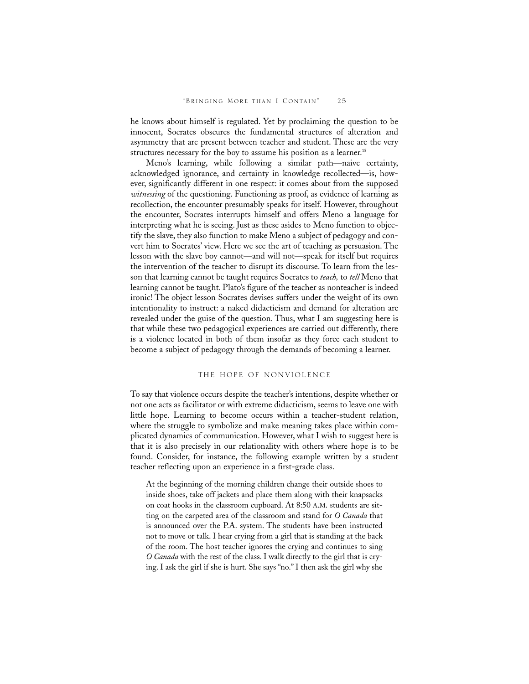he knows about himself is regulated. Yet by proclaiming the question to be innocent, Socrates obscures the fundamental structures of alteration and asymmetry that are present between teacher and student. These are the very structures necessary for the boy to assume his position as a learner.<sup>15</sup>

Meno's learning, while following a similar path—naive certainty, acknowledged ignorance, and certainty in knowledge recollected—is, however, significantly different in one respect: it comes about from the supposed *witnessing* of the questioning. Functioning as proof, as evidence of learning as recollection, the encounter presumably speaks for itself. However, throughout the encounter, Socrates interrupts himself and offers Meno a language for interpreting what he is seeing. Just as these asides to Meno function to objectify the slave, they also function to make Meno a subject of pedagogy and convert him to Socrates' view. Here we see the art of teaching as persuasion. The lesson with the slave boy cannot—and will not—speak for itself but requires the intervention of the teacher to disrupt its discourse. To learn from the lesson that learning cannot be taught requires Socrates to *teach,* to *tell* Meno that learning cannot be taught. Plato's figure of the teacher as nonteacher is indeed ironic! The object lesson Socrates devises suffers under the weight of its own intentionality to instruct: a naked didacticism and demand for alteration are revealed under the guise of the question. Thus, what I am suggesting here is that while these two pedagogical experiences are carried out differently, there is a violence located in both of them insofar as they force each student to become a subject of pedagogy through the demands of becoming a learner.

### THE HOPE OF NONVIOLENCE

To say that violence occurs despite the teacher's intentions, despite whether or not one acts as facilitator or with extreme didacticism, seems to leave one with little hope. Learning to become occurs within a teacher-student relation, where the struggle to symbolize and make meaning takes place within complicated dynamics of communication. However, what I wish to suggest here is that it is also precisely in our relationality with others where hope is to be found. Consider, for instance, the following example written by a student teacher reflecting upon an experience in a first-grade class.

At the beginning of the morning children change their outside shoes to inside shoes, take off jackets and place them along with their knapsacks on coat hooks in the classroom cupboard. At 8:50 A.M. students are sitting on the carpeted area of the classroom and stand for *O Canada* that is announced over the P.A. system. The students have been instructed not to move or talk. I hear crying from a girl that is standing at the back of the room. The host teacher ignores the crying and continues to sing *O Canada* with the rest of the class. I walk directly to the girl that is crying. I ask the girl if she is hurt. She says "no." I then ask the girl why she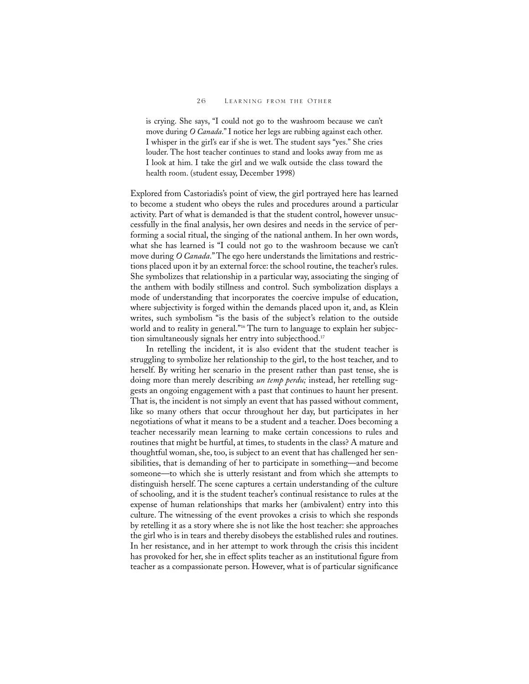is crying. She says, "I could not go to the washroom because we can't move during *O Canada*." I notice her legs are rubbing against each other. I whisper in the girl's ear if she is wet. The student says "yes." She cries louder. The host teacher continues to stand and looks away from me as I look at him. I take the girl and we walk outside the class toward the health room. (student essay, December 1998)

Explored from Castoriadis's point of view, the girl portrayed here has learned to become a student who obeys the rules and procedures around a particular activity. Part of what is demanded is that the student control, however unsuccessfully in the final analysis, her own desires and needs in the service of performing a social ritual, the singing of the national anthem. In her own words, what she has learned is "I could not go to the washroom because we can't move during *O Canada*." The ego here understands the limitations and restrictions placed upon it by an external force: the school routine, the teacher's rules. She symbolizes that relationship in a particular way, associating the singing of the anthem with bodily stillness and control. Such symbolization displays a mode of understanding that incorporates the coercive impulse of education, where subjectivity is forged within the demands placed upon it, and, as Klein writes, such symbolism "is the basis of the subject's relation to the outside world and to reality in general."16 The turn to language to explain her subjection simultaneously signals her entry into subjecthood.<sup>17</sup>

In retelling the incident, it is also evident that the student teacher is struggling to symbolize her relationship to the girl, to the host teacher, and to herself. By writing her scenario in the present rather than past tense, she is doing more than merely describing *un temp perdu;* instead, her retelling suggests an ongoing engagement with a past that continues to haunt her present. That is, the incident is not simply an event that has passed without comment, like so many others that occur throughout her day, but participates in her negotiations of what it means to be a student and a teacher. Does becoming a teacher necessarily mean learning to make certain concessions to rules and routines that might be hurtful, at times, to students in the class? A mature and thoughtful woman, she, too, is subject to an event that has challenged her sensibilities, that is demanding of her to participate in something—and become someone—to which she is utterly resistant and from which she attempts to distinguish herself. The scene captures a certain understanding of the culture of schooling, and it is the student teacher's continual resistance to rules at the expense of human relationships that marks her (ambivalent) entry into this culture. The witnessing of the event provokes a crisis to which she responds by retelling it as a story where she is not like the host teacher: she approaches the girl who is in tears and thereby disobeys the established rules and routines. In her resistance, and in her attempt to work through the crisis this incident has provoked for her, she in effect splits teacher as an institutional figure from teacher as a compassionate person. However, what is of particular significance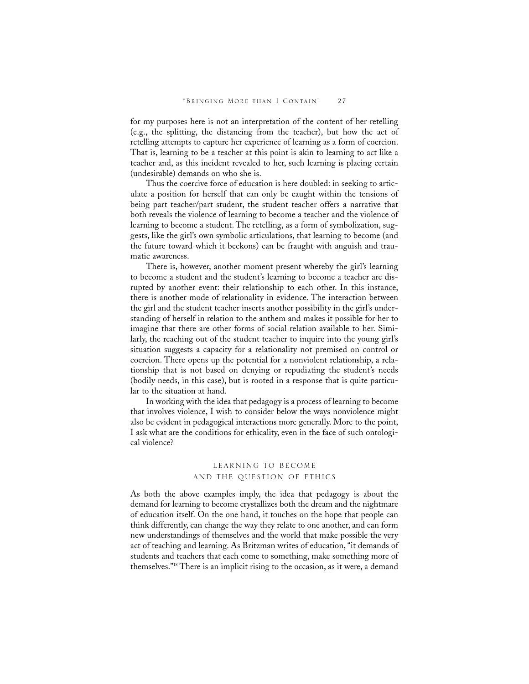for my purposes here is not an interpretation of the content of her retelling (e.g., the splitting, the distancing from the teacher), but how the act of retelling attempts to capture her experience of learning as a form of coercion. That is, learning to be a teacher at this point is akin to learning to act like a teacher and, as this incident revealed to her, such learning is placing certain (undesirable) demands on who she is.

Thus the coercive force of education is here doubled: in seeking to articulate a position for herself that can only be caught within the tensions of being part teacher/part student, the student teacher offers a narrative that both reveals the violence of learning to become a teacher and the violence of learning to become a student. The retelling, as a form of symbolization, suggests, like the girl's own symbolic articulations, that learning to become (and the future toward which it beckons) can be fraught with anguish and traumatic awareness.

There is, however, another moment present whereby the girl's learning to become a student and the student's learning to become a teacher are disrupted by another event: their relationship to each other. In this instance, there is another mode of relationality in evidence. The interaction between the girl and the student teacher inserts another possibility in the girl's understanding of herself in relation to the anthem and makes it possible for her to imagine that there are other forms of social relation available to her. Similarly, the reaching out of the student teacher to inquire into the young girl's situation suggests a capacity for a relationality not premised on control or coercion. There opens up the potential for a nonviolent relationship, a relationship that is not based on denying or repudiating the student's needs (bodily needs, in this case), but is rooted in a response that is quite particular to the situation at hand.

In working with the idea that pedagogy is a process of learning to become that involves violence, I wish to consider below the ways nonviolence might also be evident in pedagogical interactions more generally. More to the point, I ask what are the conditions for ethicality, even in the face of such ontological violence?

## LEARNING TO BECOME AND THE QUESTION OF ETHICS

As both the above examples imply, the idea that pedagogy is about the demand for learning to become crystallizes both the dream and the nightmare of education itself. On the one hand, it touches on the hope that people can think differently, can change the way they relate to one another, and can form new understandings of themselves and the world that make possible the very act of teaching and learning. As Britzman writes of education, "it demands of students and teachers that each come to something, make something more of themselves."18 There is an implicit rising to the occasion, as it were, a demand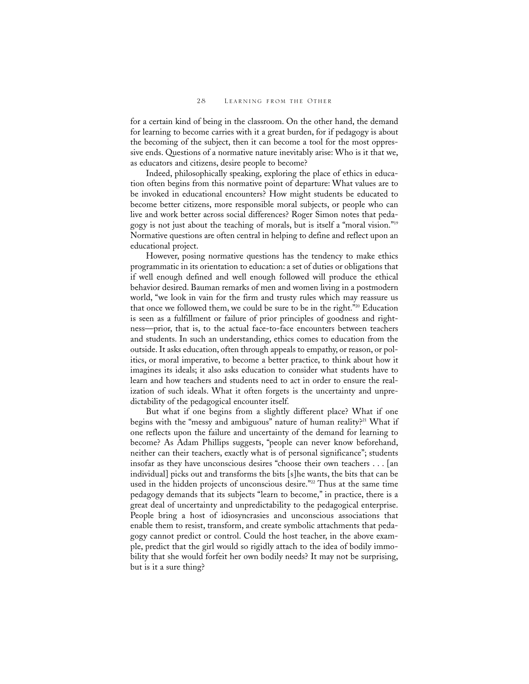for a certain kind of being in the classroom. On the other hand, the demand for learning to become carries with it a great burden, for if pedagogy is about the becoming of the subject, then it can become a tool for the most oppressive ends. Questions of a normative nature inevitably arise: Who is it that we, as educators and citizens, desire people to become?

Indeed, philosophically speaking, exploring the place of ethics in education often begins from this normative point of departure: What values are to be invoked in educational encounters? How might students be educated to become better citizens, more responsible moral subjects, or people who can live and work better across social differences? Roger Simon notes that pedagogy is not just about the teaching of morals, but is itself a "moral vision."19 Normative questions are often central in helping to define and reflect upon an educational project.

However, posing normative questions has the tendency to make ethics programmatic in its orientation to education: a set of duties or obligations that if well enough defined and well enough followed will produce the ethical behavior desired. Bauman remarks of men and women living in a postmodern world, "we look in vain for the firm and trusty rules which may reassure us that once we followed them, we could be sure to be in the right."20 Education is seen as a fulfillment or failure of prior principles of goodness and rightness—prior, that is, to the actual face-to-face encounters between teachers and students. In such an understanding, ethics comes to education from the outside. It asks education, often through appeals to empathy, or reason, or politics, or moral imperative, to become a better practice, to think about how it imagines its ideals; it also asks education to consider what students have to learn and how teachers and students need to act in order to ensure the realization of such ideals. What it often forgets is the uncertainty and unpredictability of the pedagogical encounter itself.

But what if one begins from a slightly different place? What if one begins with the "messy and ambiguous" nature of human reality?<sup>21</sup> What if one reflects upon the failure and uncertainty of the demand for learning to become? As Adam Phillips suggests, "people can never know beforehand, neither can their teachers, exactly what is of personal significance"; students insofar as they have unconscious desires "choose their own teachers . . . [an individual] picks out and transforms the bits [s]he wants, the bits that can be used in the hidden projects of unconscious desire."<sup>22</sup> Thus at the same time pedagogy demands that its subjects "learn to become," in practice, there is a great deal of uncertainty and unpredictability to the pedagogical enterprise. People bring a host of idiosyncrasies and unconscious associations that enable them to resist, transform, and create symbolic attachments that pedagogy cannot predict or control. Could the host teacher, in the above example, predict that the girl would so rigidly attach to the idea of bodily immobility that she would forfeit her own bodily needs? It may not be surprising, but is it a sure thing?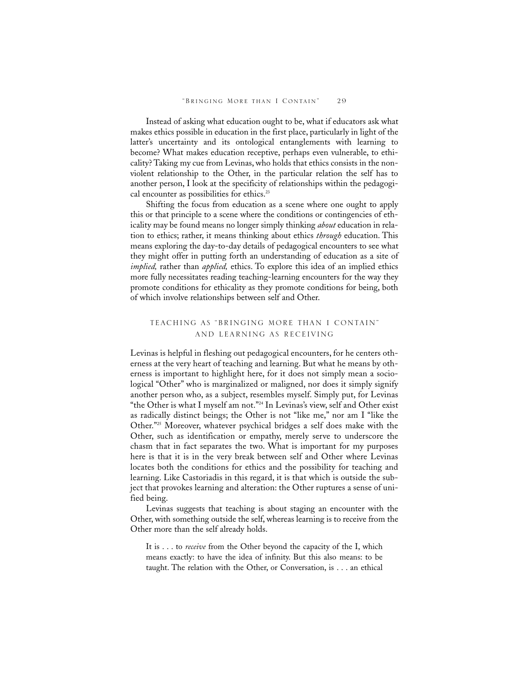Instead of asking what education ought to be, what if educators ask what makes ethics possible in education in the first place, particularly in light of the latter's uncertainty and its ontological entanglements with learning to become? What makes education receptive, perhaps even vulnerable, to ethicality? Taking my cue from Levinas, who holds that ethics consists in the nonviolent relationship to the Other, in the particular relation the self has to another person, I look at the specificity of relationships within the pedagogical encounter as possibilities for ethics.<sup>23</sup>

Shifting the focus from education as a scene where one ought to apply this or that principle to a scene where the conditions or contingencies of ethicality may be found means no longer simply thinking *about* education in relation to ethics; rather, it means thinking about ethics *through* education. This means exploring the day-to-day details of pedagogical encounters to see what they might offer in putting forth an understanding of education as a site of *implied,* rather than *applied,* ethics. To explore this idea of an implied ethics more fully necessitates reading teaching-learning encounters for the way they promote conditions for ethicality as they promote conditions for being, both of which involve relationships between self and Other.

## TEACHING AS "BRINGING MORE THAN I CONTAIN" AND LEARNING AS RECEIVING

Levinas is helpful in fleshing out pedagogical encounters, for he centers otherness at the very heart of teaching and learning. But what he means by otherness is important to highlight here, for it does not simply mean a sociological "Other" who is marginalized or maligned, nor does it simply signify another person who, as a subject, resembles myself. Simply put, for Levinas "the Other is what I myself am not."<sup>24</sup> In Levinas's view, self and Other exist as radically distinct beings; the Other is not "like me," nor am I "like the Other."25 Moreover, whatever psychical bridges a self does make with the Other, such as identification or empathy, merely serve to underscore the chasm that in fact separates the two. What is important for my purposes here is that it is in the very break between self and Other where Levinas locates both the conditions for ethics and the possibility for teaching and learning. Like Castoriadis in this regard, it is that which is outside the subject that provokes learning and alteration: the Other ruptures a sense of unified being.

Levinas suggests that teaching is about staging an encounter with the Other, with something outside the self, whereas learning is to receive from the Other more than the self already holds.

It is . . . to *receive* from the Other beyond the capacity of the I, which means exactly: to have the idea of infinity. But this also means: to be taught. The relation with the Other, or Conversation, is . . . an ethical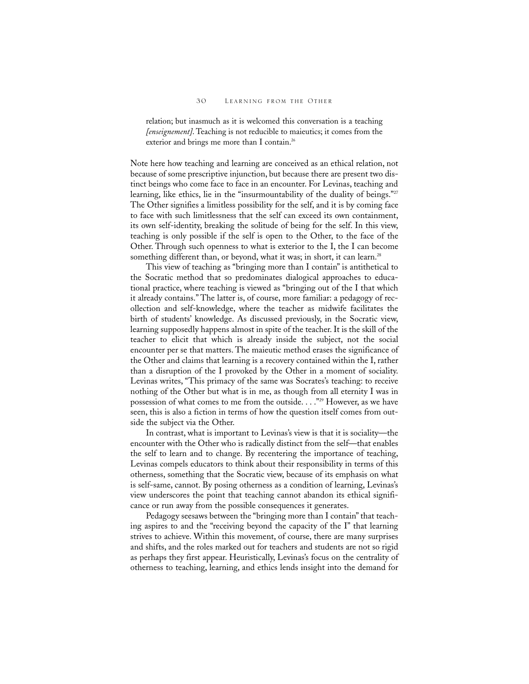relation; but inasmuch as it is welcomed this conversation is a teaching *[enseignement]*. Teaching is not reducible to maieutics; it comes from the exterior and brings me more than I contain.<sup>26</sup>

Note here how teaching and learning are conceived as an ethical relation, not because of some prescriptive injunction, but because there are present two distinct beings who come face to face in an encounter. For Levinas, teaching and learning, like ethics, lie in the "insurmountability of the duality of beings."<sup>27</sup> The Other signifies a limitless possibility for the self, and it is by coming face to face with such limitlessness that the self can exceed its own containment, its own self-identity, breaking the solitude of being for the self. In this view, teaching is only possible if the self is open to the Other, to the face of the Other. Through such openness to what is exterior to the I, the I can become something different than, or beyond, what it was; in short, it can learn.<sup>28</sup>

This view of teaching as "bringing more than I contain" is antithetical to the Socratic method that so predominates dialogical approaches to educational practice, where teaching is viewed as "bringing out of the I that which it already contains." The latter is, of course, more familiar: a pedagogy of recollection and self-knowledge, where the teacher as midwife facilitates the birth of students' knowledge. As discussed previously, in the Socratic view, learning supposedly happens almost in spite of the teacher. It is the skill of the teacher to elicit that which is already inside the subject, not the social encounter per se that matters. The maieutic method erases the significance of the Other and claims that learning is a recovery contained within the I, rather than a disruption of the I provoked by the Other in a moment of sociality. Levinas writes, "This primacy of the same was Socrates's teaching: to receive nothing of the Other but what is in me, as though from all eternity I was in possession of what comes to me from the outside. . . ."29 However, as we have seen, this is also a fiction in terms of how the question itself comes from outside the subject via the Other.

In contrast, what is important to Levinas's view is that it is sociality—the encounter with the Other who is radically distinct from the self—that enables the self to learn and to change. By recentering the importance of teaching, Levinas compels educators to think about their responsibility in terms of this otherness, something that the Socratic view, because of its emphasis on what is self-same, cannot. By posing otherness as a condition of learning, Levinas's view underscores the point that teaching cannot abandon its ethical significance or run away from the possible consequences it generates.

Pedagogy seesaws between the "bringing more than I contain" that teaching aspires to and the "receiving beyond the capacity of the I" that learning strives to achieve. Within this movement, of course, there are many surprises and shifts, and the roles marked out for teachers and students are not so rigid as perhaps they first appear. Heuristically, Levinas's focus on the centrality of otherness to teaching, learning, and ethics lends insight into the demand for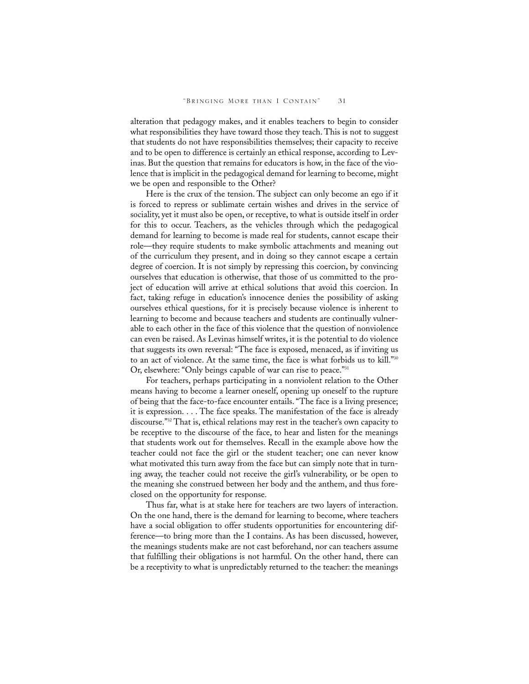alteration that pedagogy makes, and it enables teachers to begin to consider what responsibilities they have toward those they teach. This is not to suggest that students do not have responsibilities themselves; their capacity to receive and to be open to difference is certainly an ethical response, according to Levinas. But the question that remains for educators is how, in the face of the violence that is implicit in the pedagogical demand for learning to become, might we be open and responsible to the Other?

Here is the crux of the tension. The subject can only become an ego if it is forced to repress or sublimate certain wishes and drives in the service of sociality, yet it must also be open, or receptive, to what is outside itself in order for this to occur. Teachers, as the vehicles through which the pedagogical demand for learning to become is made real for students, cannot escape their role—they require students to make symbolic attachments and meaning out of the curriculum they present, and in doing so they cannot escape a certain degree of coercion. It is not simply by repressing this coercion, by convincing ourselves that education is otherwise, that those of us committed to the project of education will arrive at ethical solutions that avoid this coercion. In fact, taking refuge in education's innocence denies the possibility of asking ourselves ethical questions, for it is precisely because violence is inherent to learning to become and because teachers and students are continually vulnerable to each other in the face of this violence that the question of nonviolence can even be raised. As Levinas himself writes, it is the potential to do violence that suggests its own reversal: "The face is exposed, menaced, as if inviting us to an act of violence. At the same time, the face is what forbids us to kill."30 Or, elsewhere: "Only beings capable of war can rise to peace."31

For teachers, perhaps participating in a nonviolent relation to the Other means having to become a learner oneself, opening up oneself to the rupture of being that the face-to-face encounter entails. "The face is a living presence; it is expression. . . . The face speaks. The manifestation of the face is already discourse."32 That is, ethical relations may rest in the teacher's own capacity to be receptive to the discourse of the face, to hear and listen for the meanings that students work out for themselves. Recall in the example above how the teacher could not face the girl or the student teacher; one can never know what motivated this turn away from the face but can simply note that in turning away, the teacher could not receive the girl's vulnerability, or be open to the meaning she construed between her body and the anthem, and thus foreclosed on the opportunity for response.

Thus far, what is at stake here for teachers are two layers of interaction. On the one hand, there is the demand for learning to become, where teachers have a social obligation to offer students opportunities for encountering difference—to bring more than the I contains. As has been discussed, however, the meanings students make are not cast beforehand, nor can teachers assume that fulfilling their obligations is not harmful. On the other hand, there can be a receptivity to what is unpredictably returned to the teacher: the meanings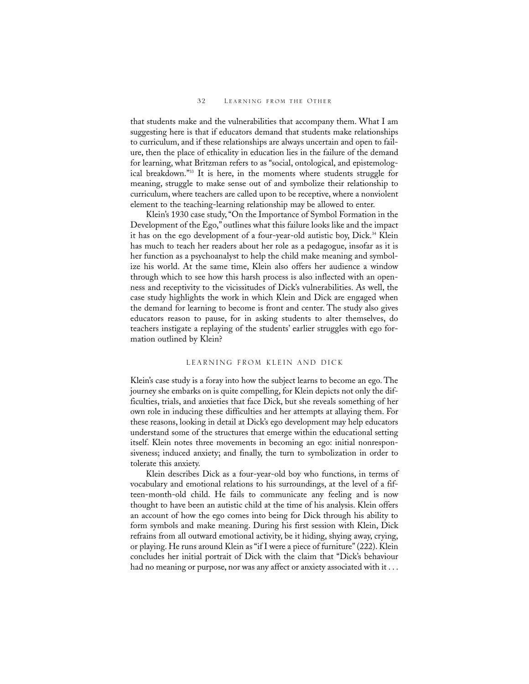that students make and the vulnerabilities that accompany them. What I am suggesting here is that if educators demand that students make relationships to curriculum, and if these relationships are always uncertain and open to failure, then the place of ethicality in education lies in the failure of the demand for learning, what Britzman refers to as "social, ontological, and epistemological breakdown."33 It is here, in the moments where students struggle for meaning, struggle to make sense out of and symbolize their relationship to curriculum, where teachers are called upon to be receptive, where a nonviolent element to the teaching-learning relationship may be allowed to enter.

Klein's 1930 case study, "On the Importance of Symbol Formation in the Development of the Ego," outlines what this failure looks like and the impact it has on the ego development of a four-year-old autistic boy, Dick.<sup>34</sup> Klein has much to teach her readers about her role as a pedagogue, insofar as it is her function as a psychoanalyst to help the child make meaning and symbolize his world. At the same time, Klein also offers her audience a window through which to see how this harsh process is also inflected with an openness and receptivity to the vicissitudes of Dick's vulnerabilities. As well, the case study highlights the work in which Klein and Dick are engaged when the demand for learning to become is front and center. The study also gives educators reason to pause, for in asking students to alter themselves, do teachers instigate a replaying of the students' earlier struggles with ego formation outlined by Klein?

#### LEARNING FROM KLEIN AND DICK

Klein's case study is a foray into how the subject learns to become an ego. The journey she embarks on is quite compelling, for Klein depicts not only the difficulties, trials, and anxieties that face Dick, but she reveals something of her own role in inducing these difficulties and her attempts at allaying them. For these reasons, looking in detail at Dick's ego development may help educators understand some of the structures that emerge within the educational setting itself. Klein notes three movements in becoming an ego: initial nonresponsiveness; induced anxiety; and finally, the turn to symbolization in order to tolerate this anxiety.

Klein describes Dick as a four-year-old boy who functions, in terms of vocabulary and emotional relations to his surroundings, at the level of a fifteen-month-old child. He fails to communicate any feeling and is now thought to have been an autistic child at the time of his analysis. Klein offers an account of how the ego comes into being for Dick through his ability to form symbols and make meaning. During his first session with Klein, Dick refrains from all outward emotional activity, be it hiding, shying away, crying, or playing. He runs around Klein as "if I were a piece of furniture" (222). Klein concludes her initial portrait of Dick with the claim that "Dick's behaviour had no meaning or purpose, nor was any affect or anxiety associated with it . . .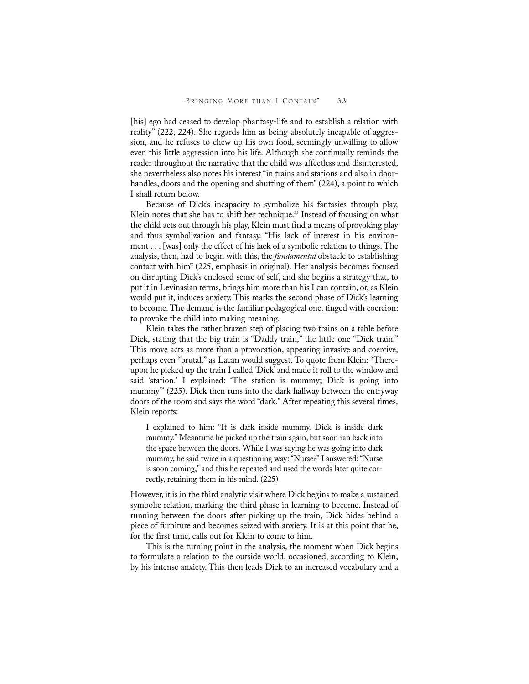[his] ego had ceased to develop phantasy-life and to establish a relation with reality" (222, 224). She regards him as being absolutely incapable of aggression, and he refuses to chew up his own food, seemingly unwilling to allow even this little aggression into his life. Although she continually reminds the reader throughout the narrative that the child was affectless and disinterested, she nevertheless also notes his interest "in trains and stations and also in doorhandles, doors and the opening and shutting of them" (224), a point to which I shall return below.

Because of Dick's incapacity to symbolize his fantasies through play, Klein notes that she has to shift her technique.<sup>35</sup> Instead of focusing on what the child acts out through his play, Klein must find a means of provoking play and thus symbolization and fantasy. "His lack of interest in his environment . . . [was] only the effect of his lack of a symbolic relation to things. The analysis, then, had to begin with this, the *fundamental* obstacle to establishing contact with him" (225, emphasis in original). Her analysis becomes focused on disrupting Dick's enclosed sense of self, and she begins a strategy that, to put it in Levinasian terms, brings him more than his I can contain, or, as Klein would put it, induces anxiety. This marks the second phase of Dick's learning to become. The demand is the familiar pedagogical one, tinged with coercion: to provoke the child into making meaning.

Klein takes the rather brazen step of placing two trains on a table before Dick, stating that the big train is "Daddy train," the little one "Dick train." This move acts as more than a provocation, appearing invasive and coercive, perhaps even "brutal," as Lacan would suggest. To quote from Klein: "Thereupon he picked up the train I called 'Dick' and made it roll to the window and said 'station.' I explained: 'The station is mummy; Dick is going into mummy'" (225). Dick then runs into the dark hallway between the entryway doors of the room and says the word "dark." After repeating this several times, Klein reports:

I explained to him: "It is dark inside mummy. Dick is inside dark mummy." Meantime he picked up the train again, but soon ran back into the space between the doors. While I was saying he was going into dark mummy, he said twice in a questioning way: "Nurse?" I answered: "Nurse is soon coming," and this he repeated and used the words later quite correctly, retaining them in his mind. (225)

However, it is in the third analytic visit where Dick begins to make a sustained symbolic relation, marking the third phase in learning to become. Instead of running between the doors after picking up the train, Dick hides behind a piece of furniture and becomes seized with anxiety. It is at this point that he, for the first time, calls out for Klein to come to him.

This is the turning point in the analysis, the moment when Dick begins to formulate a relation to the outside world, occasioned, according to Klein, by his intense anxiety. This then leads Dick to an increased vocabulary and a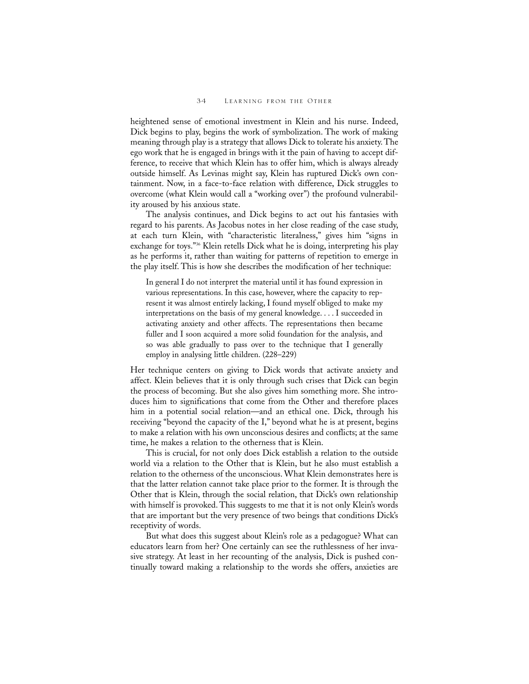heightened sense of emotional investment in Klein and his nurse. Indeed, Dick begins to play, begins the work of symbolization. The work of making meaning through play is a strategy that allows Dick to tolerate his anxiety. The ego work that he is engaged in brings with it the pain of having to accept difference, to receive that which Klein has to offer him, which is always already outside himself. As Levinas might say, Klein has ruptured Dick's own containment. Now, in a face-to-face relation with difference, Dick struggles to overcome (what Klein would call a "working over") the profound vulnerability aroused by his anxious state.

The analysis continues, and Dick begins to act out his fantasies with regard to his parents. As Jacobus notes in her close reading of the case study, at each turn Klein, with "characteristic literalness," gives him "signs in exchange for toys."36 Klein retells Dick what he is doing, interpreting his play as he performs it, rather than waiting for patterns of repetition to emerge in the play itself. This is how she describes the modification of her technique:

In general I do not interpret the material until it has found expression in various representations. In this case, however, where the capacity to represent it was almost entirely lacking, I found myself obliged to make my interpretations on the basis of my general knowledge. . . . I succeeded in activating anxiety and other affects. The representations then became fuller and I soon acquired a more solid foundation for the analysis, and so was able gradually to pass over to the technique that I generally employ in analysing little children. (228–229)

Her technique centers on giving to Dick words that activate anxiety and affect. Klein believes that it is only through such crises that Dick can begin the process of becoming. But she also gives him something more. She introduces him to significations that come from the Other and therefore places him in a potential social relation—and an ethical one. Dick, through his receiving "beyond the capacity of the I," beyond what he is at present, begins to make a relation with his own unconscious desires and conflicts; at the same time, he makes a relation to the otherness that is Klein.

This is crucial, for not only does Dick establish a relation to the outside world via a relation to the Other that is Klein, but he also must establish a relation to the otherness of the unconscious. What Klein demonstrates here is that the latter relation cannot take place prior to the former. It is through the Other that is Klein, through the social relation, that Dick's own relationship with himself is provoked. This suggests to me that it is not only Klein's words that are important but the very presence of two beings that conditions Dick's receptivity of words.

But what does this suggest about Klein's role as a pedagogue? What can educators learn from her? One certainly can see the ruthlessness of her invasive strategy. At least in her recounting of the analysis, Dick is pushed continually toward making a relationship to the words she offers, anxieties are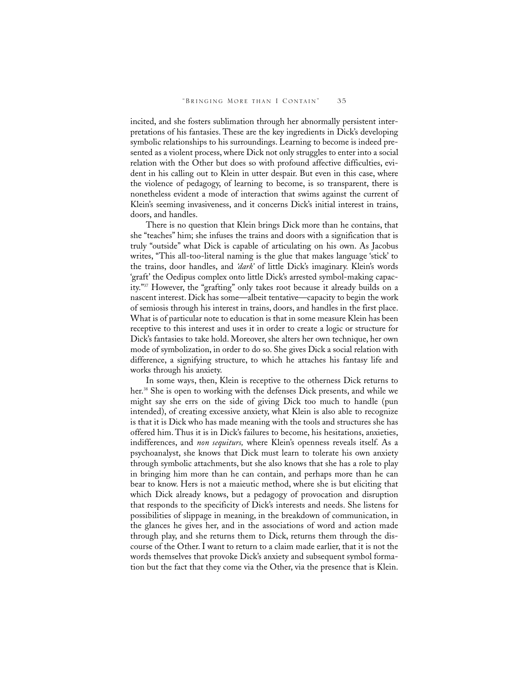incited, and she fosters sublimation through her abnormally persistent interpretations of his fantasies. These are the key ingredients in Dick's developing symbolic relationships to his surroundings. Learning to become is indeed presented as a violent process, where Dick not only struggles to enter into a social relation with the Other but does so with profound affective difficulties, evident in his calling out to Klein in utter despair. But even in this case, where the violence of pedagogy, of learning to become, is so transparent, there is nonetheless evident a mode of interaction that swims against the current of Klein's seeming invasiveness, and it concerns Dick's initial interest in trains, doors, and handles.

There is no question that Klein brings Dick more than he contains, that she "teaches" him; she infuses the trains and doors with a signification that is truly "outside" what Dick is capable of articulating on his own. As Jacobus writes, "This all-too-literal naming is the glue that makes language 'stick' to the trains, door handles, and *'dark'* of little Dick's imaginary. Klein's words 'graft' the Oedipus complex onto little Dick's arrested symbol-making capacity."37 However, the "grafting" only takes root because it already builds on a nascent interest. Dick has some—albeit tentative—capacity to begin the work of semiosis through his interest in trains, doors, and handles in the first place. What is of particular note to education is that in some measure Klein has been receptive to this interest and uses it in order to create a logic or structure for Dick's fantasies to take hold. Moreover, she alters her own technique, her own mode of symbolization, in order to do so. She gives Dick a social relation with difference, a signifying structure, to which he attaches his fantasy life and works through his anxiety.

In some ways, then, Klein is receptive to the otherness Dick returns to her.<sup>38</sup> She is open to working with the defenses Dick presents, and while we might say she errs on the side of giving Dick too much to handle (pun intended), of creating excessive anxiety, what Klein is also able to recognize is that it is Dick who has made meaning with the tools and structures she has offered him. Thus it is in Dick's failures to become, his hesitations, anxieties, indifferences, and *non sequiturs,* where Klein's openness reveals itself. As a psychoanalyst, she knows that Dick must learn to tolerate his own anxiety through symbolic attachments, but she also knows that she has a role to play in bringing him more than he can contain, and perhaps more than he can bear to know. Hers is not a maieutic method, where she is but eliciting that which Dick already knows, but a pedagogy of provocation and disruption that responds to the specificity of Dick's interests and needs. She listens for possibilities of slippage in meaning, in the breakdown of communication, in the glances he gives her, and in the associations of word and action made through play, and she returns them to Dick, returns them through the discourse of the Other. I want to return to a claim made earlier, that it is not the words themselves that provoke Dick's anxiety and subsequent symbol formation but the fact that they come via the Other, via the presence that is Klein.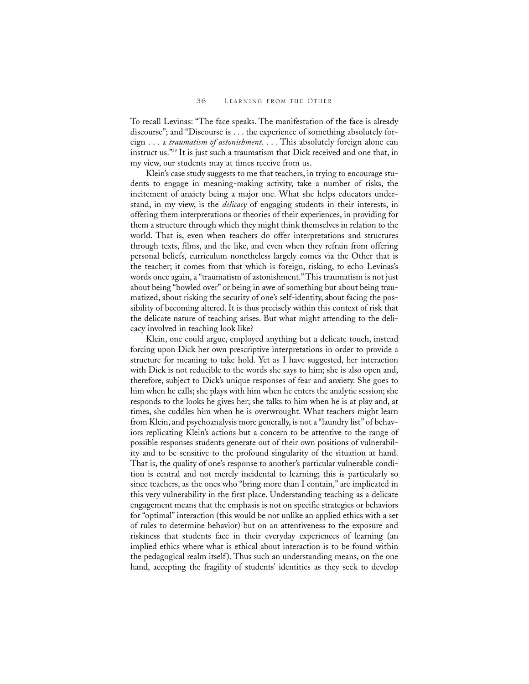To recall Levinas: "The face speaks. The manifestation of the face is already discourse"; and "Discourse is . . . the experience of something absolutely foreign . . . a *traumatism of astonishment*. . . . This absolutely foreign alone can instruct us."39 It is just such a traumatism that Dick received and one that, in my view, our students may at times receive from us.

Klein's case study suggests to me that teachers, in trying to encourage students to engage in meaning-making activity, take a number of risks, the incitement of anxiety being a major one. What she helps educators understand, in my view, is the *delicacy* of engaging students in their interests, in offering them interpretations or theories of their experiences, in providing for them a structure through which they might think themselves in relation to the world. That is, even when teachers do offer interpretations and structures through texts, films, and the like, and even when they refrain from offering personal beliefs, curriculum nonetheless largely comes via the Other that is the teacher; it comes from that which is foreign, risking, to echo Levinas's words once again, a "traumatism of astonishment." This traumatism is not just about being "bowled over" or being in awe of something but about being traumatized, about risking the security of one's self-identity, about facing the possibility of becoming altered. It is thus precisely within this context of risk that the delicate nature of teaching arises. But what might attending to the delicacy involved in teaching look like?

Klein, one could argue, employed anything but a delicate touch, instead forcing upon Dick her own prescriptive interpretations in order to provide a structure for meaning to take hold. Yet as I have suggested, her interaction with Dick is not reducible to the words she says to him; she is also open and, therefore, subject to Dick's unique responses of fear and anxiety. She goes to him when he calls; she plays with him when he enters the analytic session; she responds to the looks he gives her; she talks to him when he is at play and, at times, she cuddles him when he is overwrought. What teachers might learn from Klein, and psychoanalysis more generally, is not a "laundry list" of behaviors replicating Klein's actions but a concern to be attentive to the range of possible responses students generate out of their own positions of vulnerability and to be sensitive to the profound singularity of the situation at hand. That is, the quality of one's response to another's particular vulnerable condition is central and not merely incidental to learning; this is particularly so since teachers, as the ones who "bring more than I contain," are implicated in this very vulnerability in the first place. Understanding teaching as a delicate engagement means that the emphasis is not on specific strategies or behaviors for "optimal" interaction (this would be not unlike an applied ethics with a set of rules to determine behavior) but on an attentiveness to the exposure and riskiness that students face in their everyday experiences of learning (an implied ethics where what is ethical about interaction is to be found within the pedagogical realm itself). Thus such an understanding means, on the one hand, accepting the fragility of students' identities as they seek to develop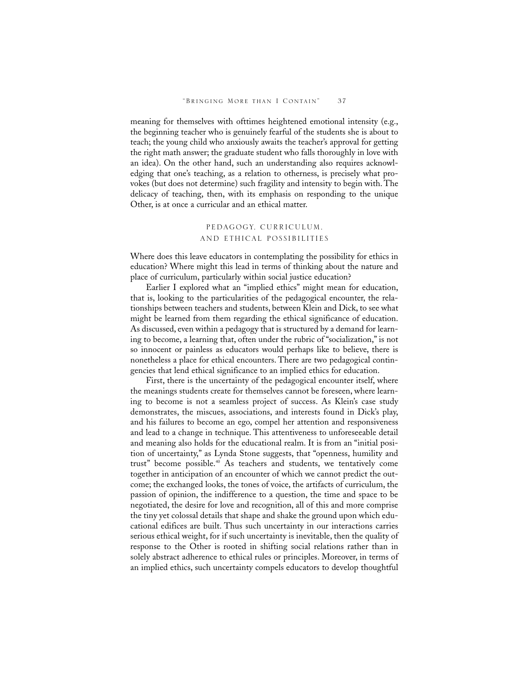meaning for themselves with ofttimes heightened emotional intensity (e.g., the beginning teacher who is genuinely fearful of the students she is about to teach; the young child who anxiously awaits the teacher's approval for getting the right math answer; the graduate student who falls thoroughly in love with an idea). On the other hand, such an understanding also requires acknowledging that one's teaching, as a relation to otherness, is precisely what provokes (but does not determine) such fragility and intensity to begin with. The delicacy of teaching, then, with its emphasis on responding to the unique Other, is at once a curricular and an ethical matter.

## PEDAGOGY, CURRICULUM, AND ETHICAL POSSIBILITIES

Where does this leave educators in contemplating the possibility for ethics in education? Where might this lead in terms of thinking about the nature and place of curriculum, particularly within social justice education?

Earlier I explored what an "implied ethics" might mean for education, that is, looking to the particularities of the pedagogical encounter, the relationships between teachers and students, between Klein and Dick, to see what might be learned from them regarding the ethical significance of education. As discussed, even within a pedagogy that is structured by a demand for learning to become, a learning that, often under the rubric of "socialization," is not so innocent or painless as educators would perhaps like to believe, there is nonetheless a place for ethical encounters. There are two pedagogical contingencies that lend ethical significance to an implied ethics for education.

First, there is the uncertainty of the pedagogical encounter itself, where the meanings students create for themselves cannot be foreseen, where learning to become is not a seamless project of success. As Klein's case study demonstrates, the miscues, associations, and interests found in Dick's play, and his failures to become an ego, compel her attention and responsiveness and lead to a change in technique. This attentiveness to unforeseeable detail and meaning also holds for the educational realm. It is from an "initial position of uncertainty," as Lynda Stone suggests, that "openness, humility and trust" become possible.<sup>40</sup> As teachers and students, we tentatively come together in anticipation of an encounter of which we cannot predict the outcome; the exchanged looks, the tones of voice, the artifacts of curriculum, the passion of opinion, the indifference to a question, the time and space to be negotiated, the desire for love and recognition, all of this and more comprise the tiny yet colossal details that shape and shake the ground upon which educational edifices are built. Thus such uncertainty in our interactions carries serious ethical weight, for if such uncertainty is inevitable, then the quality of response to the Other is rooted in shifting social relations rather than in solely abstract adherence to ethical rules or principles. Moreover, in terms of an implied ethics, such uncertainty compels educators to develop thoughtful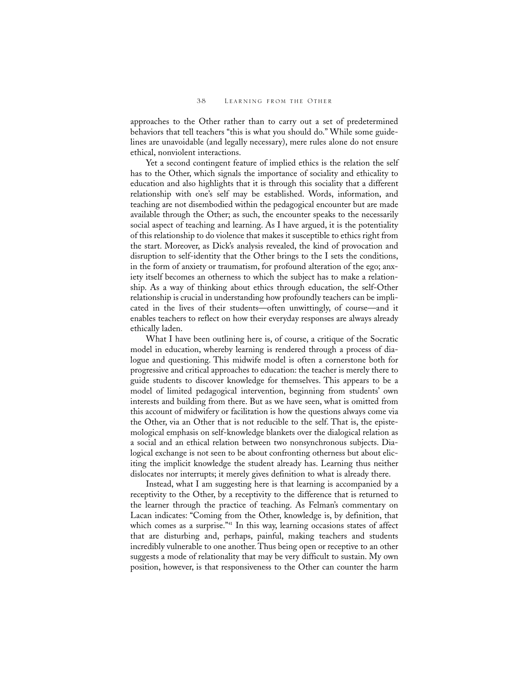approaches to the Other rather than to carry out a set of predetermined behaviors that tell teachers "this is what you should do." While some guidelines are unavoidable (and legally necessary), mere rules alone do not ensure ethical, nonviolent interactions.

Yet a second contingent feature of implied ethics is the relation the self has to the Other, which signals the importance of sociality and ethicality to education and also highlights that it is through this sociality that a different relationship with one's self may be established. Words, information, and teaching are not disembodied within the pedagogical encounter but are made available through the Other; as such, the encounter speaks to the necessarily social aspect of teaching and learning. As I have argued, it is the potentiality of this relationship to do violence that makes it susceptible to ethics right from the start. Moreover, as Dick's analysis revealed, the kind of provocation and disruption to self-identity that the Other brings to the I sets the conditions, in the form of anxiety or traumatism, for profound alteration of the ego; anxiety itself becomes an otherness to which the subject has to make a relationship. As a way of thinking about ethics through education, the self-Other relationship is crucial in understanding how profoundly teachers can be implicated in the lives of their students—often unwittingly, of course—and it enables teachers to reflect on how their everyday responses are always already ethically laden.

What I have been outlining here is, of course, a critique of the Socratic model in education, whereby learning is rendered through a process of dialogue and questioning. This midwife model is often a cornerstone both for progressive and critical approaches to education: the teacher is merely there to guide students to discover knowledge for themselves. This appears to be a model of limited pedagogical intervention, beginning from students' own interests and building from there. But as we have seen, what is omitted from this account of midwifery or facilitation is how the questions always come via the Other, via an Other that is not reducible to the self. That is, the epistemological emphasis on self-knowledge blankets over the dialogical relation as a social and an ethical relation between two nonsynchronous subjects. Dialogical exchange is not seen to be about confronting otherness but about eliciting the implicit knowledge the student already has. Learning thus neither dislocates nor interrupts; it merely gives definition to what is already there.

Instead, what I am suggesting here is that learning is accompanied by a receptivity to the Other, by a receptivity to the difference that is returned to the learner through the practice of teaching. As Felman's commentary on Lacan indicates: "Coming from the Other, knowledge is, by definition, that which comes as a surprise."<sup>41</sup> In this way, learning occasions states of affect that are disturbing and, perhaps, painful, making teachers and students incredibly vulnerable to one another. Thus being open or receptive to an other suggests a mode of relationality that may be very difficult to sustain. My own position, however, is that responsiveness to the Other can counter the harm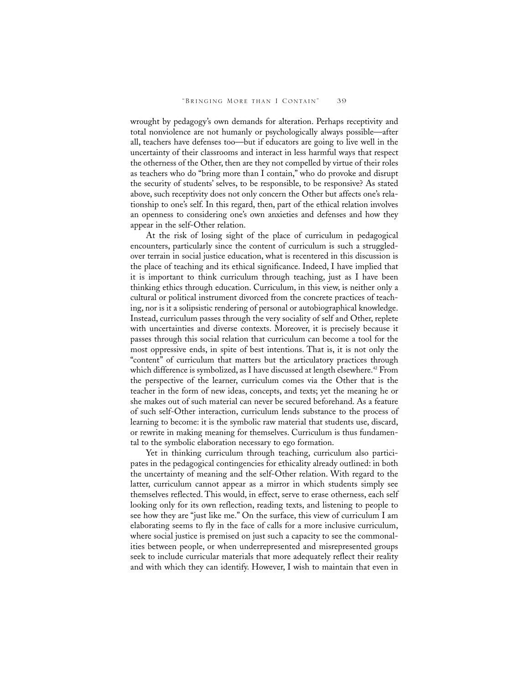wrought by pedagogy's own demands for alteration. Perhaps receptivity and total nonviolence are not humanly or psychologically always possible—after all, teachers have defenses too—but if educators are going to live well in the uncertainty of their classrooms and interact in less harmful ways that respect the otherness of the Other, then are they not compelled by virtue of their roles as teachers who do "bring more than I contain," who do provoke and disrupt the security of students' selves, to be responsible, to be responsive? As stated above, such receptivity does not only concern the Other but affects one's relationship to one's self. In this regard, then, part of the ethical relation involves an openness to considering one's own anxieties and defenses and how they appear in the self-Other relation.

At the risk of losing sight of the place of curriculum in pedagogical encounters, particularly since the content of curriculum is such a struggledover terrain in social justice education, what is recentered in this discussion is the place of teaching and its ethical significance. Indeed, I have implied that it is important to think curriculum through teaching, just as I have been thinking ethics through education. Curriculum, in this view, is neither only a cultural or political instrument divorced from the concrete practices of teaching, nor is it a solipsistic rendering of personal or autobiographical knowledge. Instead, curriculum passes through the very sociality of self and Other, replete with uncertainties and diverse contexts. Moreover, it is precisely because it passes through this social relation that curriculum can become a tool for the most oppressive ends, in spite of best intentions. That is, it is not only the "content" of curriculum that matters but the articulatory practices through which difference is symbolized, as I have discussed at length elsewhere.<sup>42</sup> From the perspective of the learner, curriculum comes via the Other that is the teacher in the form of new ideas, concepts, and texts; yet the meaning he or she makes out of such material can never be secured beforehand. As a feature of such self-Other interaction, curriculum lends substance to the process of learning to become: it is the symbolic raw material that students use, discard, or rewrite in making meaning for themselves. Curriculum is thus fundamental to the symbolic elaboration necessary to ego formation.

Yet in thinking curriculum through teaching, curriculum also participates in the pedagogical contingencies for ethicality already outlined: in both the uncertainty of meaning and the self-Other relation. With regard to the latter, curriculum cannot appear as a mirror in which students simply see themselves reflected. This would, in effect, serve to erase otherness, each self looking only for its own reflection, reading texts, and listening to people to see how they are "just like me." On the surface, this view of curriculum I am elaborating seems to fly in the face of calls for a more inclusive curriculum, where social justice is premised on just such a capacity to see the commonalities between people, or when underrepresented and misrepresented groups seek to include curricular materials that more adequately reflect their reality and with which they can identify. However, I wish to maintain that even in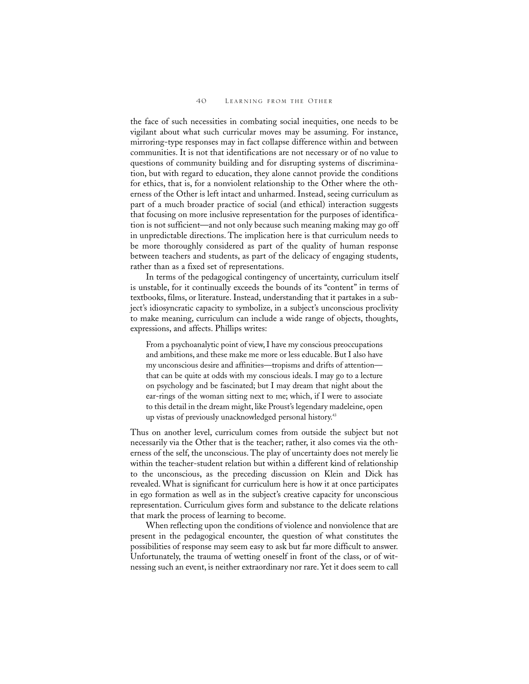the face of such necessities in combating social inequities, one needs to be vigilant about what such curricular moves may be assuming. For instance, mirroring-type responses may in fact collapse difference within and between communities. It is not that identifications are not necessary or of no value to questions of community building and for disrupting systems of discrimination, but with regard to education, they alone cannot provide the conditions for ethics, that is, for a nonviolent relationship to the Other where the otherness of the Other is left intact and unharmed. Instead, seeing curriculum as part of a much broader practice of social (and ethical) interaction suggests that focusing on more inclusive representation for the purposes of identification is not sufficient—and not only because such meaning making may go off in unpredictable directions. The implication here is that curriculum needs to be more thoroughly considered as part of the quality of human response between teachers and students, as part of the delicacy of engaging students, rather than as a fixed set of representations.

In terms of the pedagogical contingency of uncertainty, curriculum itself is unstable, for it continually exceeds the bounds of its "content" in terms of textbooks, films, or literature. Instead, understanding that it partakes in a subject's idiosyncratic capacity to symbolize, in a subject's unconscious proclivity to make meaning, curriculum can include a wide range of objects, thoughts, expressions, and affects. Phillips writes:

From a psychoanalytic point of view, I have my conscious preoccupations and ambitions, and these make me more or less educable. But I also have my unconscious desire and affinities—tropisms and drifts of attention that can be quite at odds with my conscious ideals. I may go to a lecture on psychology and be fascinated; but I may dream that night about the ear-rings of the woman sitting next to me; which, if I were to associate to this detail in the dream might, like Proust's legendary madeleine, open up vistas of previously unacknowledged personal history.<sup>43</sup>

Thus on another level, curriculum comes from outside the subject but not necessarily via the Other that is the teacher; rather, it also comes via the otherness of the self, the unconscious. The play of uncertainty does not merely lie within the teacher-student relation but within a different kind of relationship to the unconscious, as the preceding discussion on Klein and Dick has revealed. What is significant for curriculum here is how it at once participates in ego formation as well as in the subject's creative capacity for unconscious representation. Curriculum gives form and substance to the delicate relations that mark the process of learning to become.

When reflecting upon the conditions of violence and nonviolence that are present in the pedagogical encounter, the question of what constitutes the possibilities of response may seem easy to ask but far more difficult to answer. Unfortunately, the trauma of wetting oneself in front of the class, or of witnessing such an event, is neither extraordinary nor rare. Yet it does seem to call